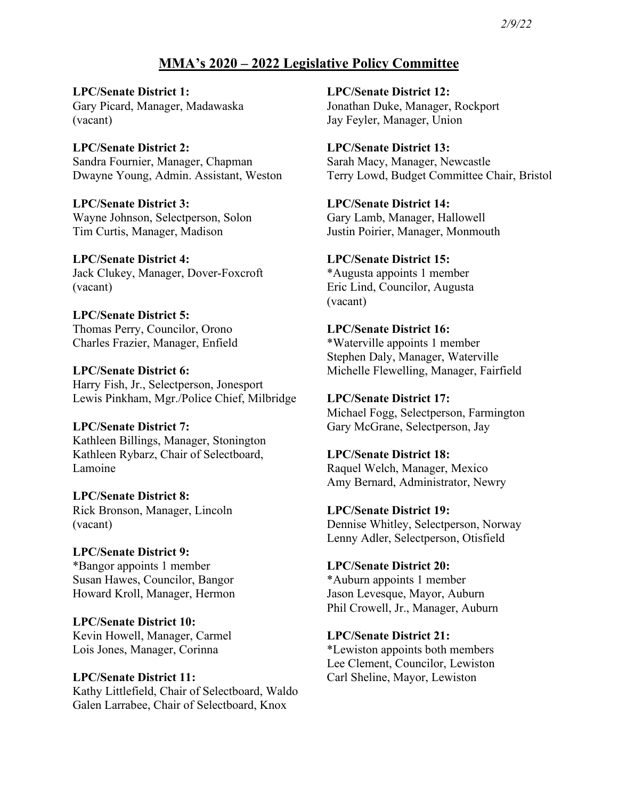# **MMA's 2020 – 2022 Legislative Policy Committee**

**LPC/Senate District 1:** Gary Picard, Manager, Madawaska (vacant)

**LPC/Senate District 2:** Sandra Fournier, Manager, Chapman Dwayne Young, Admin. Assistant, Weston

**LPC/Senate District 3:** Wayne Johnson, Selectperson, Solon Tim Curtis, Manager, Madison

**LPC/Senate District 4:** Jack Clukey, Manager, Dover-Foxcroft (vacant)

**LPC/Senate District 5:** Thomas Perry, Councilor, Orono Charles Frazier, Manager, Enfield

**LPC/Senate District 6:** Harry Fish, Jr., Selectperson, Jonesport Lewis Pinkham, Mgr./Police Chief, Milbridge

# **LPC/Senate District 7:** Kathleen Billings, Manager, Stonington Kathleen Rybarz, Chair of Selectboard,

Lamoine **LPC/Senate District 8:**

Rick Bronson, Manager, Lincoln (vacant)

**LPC/Senate District 9:** \*Bangor appoints 1 member Susan Hawes, Councilor, Bangor Howard Kroll, Manager, Hermon

**LPC/Senate District 10:** Kevin Howell, Manager, Carmel Lois Jones, Manager, Corinna

## **LPC/Senate District 11:** Kathy Littlefield, Chair of Selectboard, Waldo Galen Larrabee, Chair of Selectboard, Knox

**LPC/Senate District 12:** Jonathan Duke, Manager, Rockport Jay Feyler, Manager, Union

**LPC/Senate District 13:** Sarah Macy, Manager, Newcastle Terry Lowd, Budget Committee Chair, Bristol

**LPC/Senate District 14:** Gary Lamb, Manager, Hallowell Justin Poirier, Manager, Monmouth

**LPC/Senate District 15:** \*Augusta appoints 1 member Eric Lind, Councilor, Augusta (vacant)

**LPC/Senate District 16:** \*Waterville appoints 1 member Stephen Daly, Manager, Waterville Michelle Flewelling, Manager, Fairfield

**LPC/Senate District 17:** Michael Fogg, Selectperson, Farmington Gary McGrane, Selectperson, Jay

**LPC/Senate District 18:** Raquel Welch, Manager, Mexico Amy Bernard, Administrator, Newry

**LPC/Senate District 19:** Dennise Whitley, Selectperson, Norway Lenny Adler, Selectperson, Otisfield

**LPC/Senate District 20:** \*Auburn appoints 1 member Jason Levesque, Mayor, Auburn Phil Crowell, Jr., Manager, Auburn

**LPC/Senate District 21:** \*Lewiston appoints both members Lee Clement, Councilor, Lewiston Carl Sheline, Mayor, Lewiston